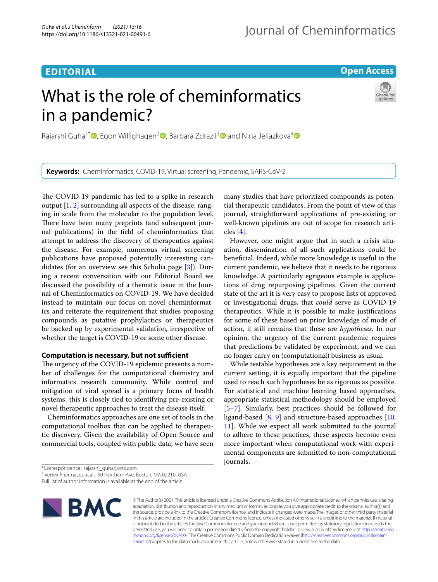## **EDITORIAL**

**Open Access**

# What is the role of cheminformatics in a pandemic?



**Keywords:** Cheminformatics, COVID-19, Virtual screening, Pandemic, SARS-CoV-2

The COVID-19 pandemic has led to a spike in research output [[1,](#page-2-0) [2\]](#page-2-1) surrounding all aspects of the disease, ranging in scale from the molecular to the population level. There have been many preprints (and subsequent journal publications) in the feld of cheminformatics that attempt to address the discovery of therapeutics against the disease. For example, numerous virtual screening publications have proposed potentially interesting candidates (for an overview see this Scholia page [[3\]](#page-2-2)). During a recent conversation with our Editorial Board we discussed the possibility of a thematic issue in the Journal of Cheminformatics on COVID-19. We have decided instead to maintain our focus on novel cheminformatics and reiterate the requirement that studies proposing compounds as putative prophylactics or therapeutics be backed up by experimental validation, irrespective of whether the target is COVID-19 or some other disease.

## **Computation is necessary, but not sufficient**

The urgency of the COVID-19 epidemic presents a number of challenges for the computational chemistry and informatics research community. While control and mitigation of viral spread is a primary focus of health systems, this is closely tied to identifying pre-existing or novel therapeutic approaches to treat the disease itself.

Cheminformatics approaches are one set of tools in the computational toolbox that can be applied to therapeutic discovery. Given the availability of Open Source and commercial tools, coupled with public data, we have seen

\*Correspondence: rajarshi\_guha@vrtx.com

Full list of author information is available at the end of the article



© The Author(s) 2021. This article is licensed under a Creative Commons Attribution 4.0 International License, which permits use, sharing, adaptation, distribution and reproduction in any medium or format, as long as you give appropriate credit to the original author(s) and the source, provide a link to the Creative Commons licence, and indicate if changes were made. The images or other third party material in this article are included in the article's Creative Commons licence, unless indicated otherwise in a credit line to the material. If material is not included in the article's Creative Commons licence and your intended use is not permitted by statutory regulation or exceeds the permitted use, you will need to obtain permission directly from the copyright holder. To view a copy of this licence, visit [http://creativeco](http://creativecommons.org/licenses/by/4.0/) [mmons.org/licenses/by/4.0/.](http://creativecommons.org/licenses/by/4.0/) The Creative Commons Public Domain Dedication waiver ([http://creativecommons.org/publicdomain/](http://creativecommons.org/publicdomain/zero/1.0/) [zero/1.0/\)](http://creativecommons.org/publicdomain/zero/1.0/) applies to the data made available in this article, unless otherwise stated in a credit line to the data.

many studies that have prioritized compounds as potential therapeutic candidates. From the point of view of this journal, straightforward applications of pre-existing or well-known pipelines are out of scope for research articles [\[4](#page-2-3)].

However, one might argue that in such a crisis situation, dissemination of all such applications could be benefcial. Indeed, while more knowledge is useful in the current pandemic, we believe that it needs to be rigorous knowledge. A particularly egrigeous example is applications of drug repurposing pipelines. Given the current state of the art it is very easy to propose lists of approved or investigational drugs, that *could* serve as COVID-19 therapeutics. While it is possible to make justifcations for some of these based on prior knowledge of mode of action, it still remains that these are *hypotheses*. In our opinion, the urgency of the current pandemic requires that predictions be validated by experiment, and we can no longer carry on (computational) business as usual.

While testable hypotheses are a key requirement in the current setting, it is equally important that the pipeline used to reach such hypotheses be as rigorous as possible. For statistical and machine learning based approaches, appropriate statistical methodology should be employed [[5–](#page-2-4)[7\]](#page-2-5). Similarly, best practices should be followed for ligand-based [[8,](#page-2-6) [9\]](#page-2-7) and structure-based approaches [[10](#page-2-8), [11\]](#page-2-9). While we expect all work submitted to the journal to adhere to these practices, these aspects become even more important when computational work with experimental components are submitted to non-computational journals.

<sup>&</sup>lt;sup>1</sup> Vertex Pharmaceuticals, 50 Northern Ave, Boston, MA 02210, USA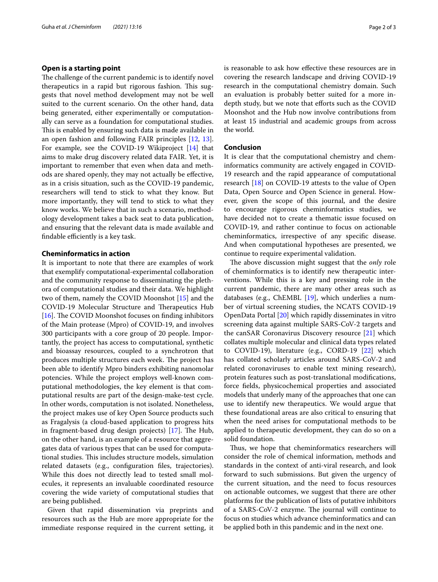## **Open is a starting point**

The challenge of the current pandemic is to identify novel therapeutics in a rapid but rigorous fashion. This suggests that novel method development may not be well suited to the current scenario. On the other hand, data being generated, either experimentally or computationally can serve as a foundation for computational studies. This is enabled by ensuring such data is made available in an open fashion and following FAIR principles [[12,](#page-2-10) [13](#page-2-11)]. For example, see the COVID-19 Wikiproject [[14\]](#page-2-12) that aims to make drug discovery related data FAIR. Yet, it is important to remember that even when data and methods are shared openly, they may not actually be efective, as in a crisis situation, such as the COVID-19 pandemic, researchers will tend to stick to what they know. But more importantly, they will tend to stick to what they know works. We believe that in such a scenario, methodology development takes a back seat to data publication, and ensuring that the relevant data is made available and findable efficiently is a key task.

## **Cheminformatics in action**

It is important to note that there are examples of work that exemplify computational-experimental collaboration and the community response to disseminating the plethora of computational studies and their data. We highlight two of them, namely the COVID Moonshot [[15](#page-2-13)] and the COVID-19 Molecular Structure and Therapeutics Hub [ $16$ ]. The COVID Moonshot focuses on finding inhibitors of the Main protease (Mpro) of COVID-19, and involves 300 participants with a core group of 20 people. Importantly, the project has access to computational, synthetic and bioassay resources, coupled to a synchrotron that produces multiple structures each week. The project has been able to identify Mpro binders exhibiting nanomolar potencies. While the project employs well-known computational methodologies, the key element is that computational results are part of the design-make-test cycle. In other words, computation is not isolated. Nonetheless, the project makes use of key Open Source products such as Fragalysis (a cloud-based application to progress hits in fragment-based drug design projects)  $[17]$  $[17]$ . The Hub, on the other hand, is an example of a resource that aggregates data of various types that can be used for computational studies. This includes structure models, simulation related datasets (e.g., confguration fles, trajectories). While this does not directly lead to tested small molecules, it represents an invaluable coordinated resource covering the wide variety of computational studies that are being published.

Given that rapid dissemination via preprints and resources such as the Hub are more appropriate for the immediate response required in the current setting, it is reasonable to ask how efective these resources are in covering the research landscape and driving COVID-19 research in the computational chemistry domain. Such an evaluation is probably better suited for a more indepth study, but we note that eforts such as the COVID Moonshot and the Hub now involve contributions from at least 15 industrial and academic groups from across the world.

## **Conclusion**

It is clear that the computational chemistry and cheminformatics community are actively engaged in COVID-19 research and the rapid appearance of computational research [\[18](#page-2-16)] on COVID-19 attests to the value of Open Data, Open Source and Open Science in general. However, given the scope of this journal, and the desire to encourage rigorous cheminformatics studies, we have decided not to create a thematic issue focused on COVID-19, and rather continue to focus on actionable cheminformatics, irrespective of any specifc disease. And when computational hypotheses are presented, we continue to require experimental validation.

The above discussion might suggest that the *only* role of cheminformatics is to identify new therapeutic interventions. While this is a key and pressing role in the current pandemic, there are many other areas such as databases (e.g., ChEMBL [\[19](#page-2-17)], which underlies a number of virtual screening studies, the NCATS COVID-19 OpenData Portal [\[20\]](#page-2-18) which rapidly disseminates in vitro screening data against multiple SARS-CoV-2 targets and the canSAR Coronavirus Discovery resource [\[21](#page-2-19)] which collates multiple molecular and clinical data types related to COVID-19), literature (e.g., CORD-19 [[22\]](#page-2-20) which has collated scholarly articles around SARS-CoV-2 and related coronaviruses to enable text mining research), protein features such as post-translational modifcations, force felds, physicochemical properties and associated models that underly many of the approaches that one can use to identify new therapeutics. We would argue that these foundational areas are also critical to ensuring that when the need arises for computational methods to be applied to therapeutic development, they can do so on a solid foundation.

Thus, we hope that cheminformatics researchers will consider the role of chemical information, methods and standards in the context of anti-viral research, and look forward to such submissions. But given the urgency of the current situation, and the need to focus resources on actionable outcomes, we suggest that there are other platforms for the publication of lists of putative inhibitors of a SARS-CoV-2 enzyme. The journal will continue to focus on studies which advance cheminformatics and can be applied both in this pandemic and in the next one.